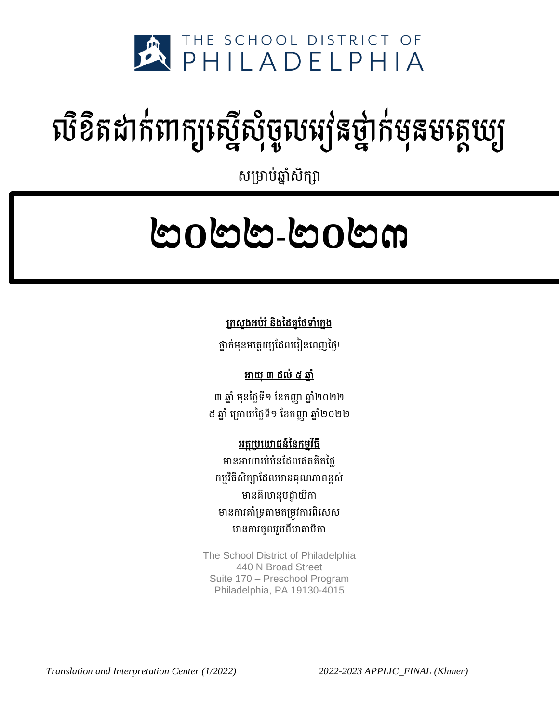

## លខិតដាក់ពាក្យស្នើសចូលអ្វីនិច្ចាក់មុនមត្តេយ្យ ់

សម្រាប់ឆ្នាំសិក្សា

# ២០២២-២០២៣

#### <u>ក្រសួងអប់រំ និងដៃគូថែទាំក្មេង</u>

ថ្នាក់មុនមត្តេយ្យដែលរៀនពេញថ្ងៃ!

#### <u>អាយុ ៣ ដល់ ៥ ឆ្នាំ</u>

៣ ឆ្នាំ មុនថ្ងៃទី១ ខែកញ្ញា ឆ្នាំ២០២២ ៥ ឆ្នាំ ក្រោយថ្ងៃទី១ ខែកញ្ញា ឆ្នាំ២០២២

#### អតថម្របក្ោជន៍ដនក្សមេវធិី

មានអាហារបំប៉នដែលឥតគិតថ្លៃ ក្សមេវធិីសិក្សាថៃលានគុណភាេែពស់ ានគិលានុបដ្ឋាយ្ិោ មានការគាំទ្រតាមតម្រូវការពិសេស ានោរចូលរួមេីាតាបិតា

The School District of Philadelphia 440 N Broad Street Suite 170 – Preschool Program Philadelphia, PA 19130-4015

*Translation and Interpretation Center (1/2022) 2022-2023 APPLIC\_FINAL (Khmer)*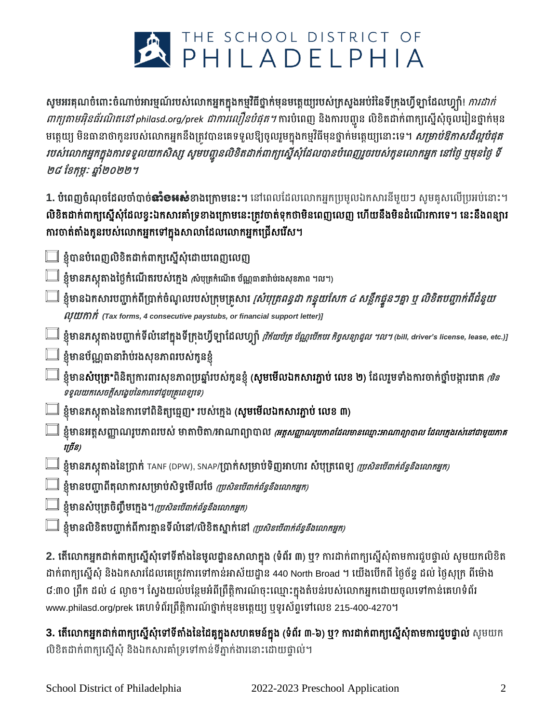

សូមអរគុណចំពោះចំណាប់អារម្មណ៍របស់លោកអ្នកក្នុងកម្មវិធីថ្នាក់មុនមត្តេយ្យរបស់ក្រសួងអប់រំនៃទីក្រងហ្វីឡាដែលហ្វ្យ៉ា! *ការដាក់ ពាក្យតាមអ៊ិនធ័រណិតនៅ philasd.org/prek ជាការលឿនបំផុត។* ការបំពេញ និងការបញ្ជូន លិខិតដាក់ពាក្យស្នើសុំចូលរៀនថ្នាក់មុន មត្តេយ្យ មិនធានាថាកូនរបស់លោកអ្នកនឹងត្រវបានគេទទួលឱ្យចូលរួមក្នុងកម្មវិធីមុនថ្នាក់មត្តេយ្យនោះទេ។ *សម្រាប់ឱកាសដ៏ល្អបំផុត* របស់លោកអ្នកក្នុងការទទួលយកសិស្ស សូមបញ្ជូនលិខិតដាក់ពាក្យស្នើសុំដែលបានបំពេញរួចរបស់កូនលោកអ្នក នៅថ្ងៃ ឬមុនថ្ងៃ ទី ២៨ ខែកុម្ភៈ ឆ្នាំ២០២២។

**1. បំពេញចំណុចដែលចាំបាច់<b>នាំខអស់**ខាងក្រោមនេះ។ នៅពេលដែលលោកអ្នកប្រមូលឯកសារនីមួយៗ សូមគូសលើប្រអប់នោះ។ លិខិតដាក់ពាក្យស្នើសុំដែលខ្វះឯកសារគាំទ្រខាងក្រោមនេះត្រូវចាត់ទុកថាមិនពេញលេញ ហើយនឹងមិនដំណើរការទេ។ នេះនឹងពន្យារ ការចាត់តាំងកូនរបស់លោកអ្នកទៅក្នុងសាលាដែលលោកអ្នកជ្រើសរើស។

ខ្ញុំបានបំពេញលិខិតដាក់ពាក្យស្នើសុំដោយពេញលេញ

ខ្ញុំមានភស្តុតាងថ្ងៃកណេតវបស់ក្មេង *ស*បុត្រកំណើត បណ្ណធានារ៉ាប់រងសុខភាព ។ល។)

ខ្ញុំមានឯកសារបញ្ជាក់ពីប្រាក់ចំណូលរបស់ក្រុមគ្រួសារ *[សំបុត្រពន្ធដា កន្ទុយសែក ៤ សន្លឹកផ្ទួនៗគ្នា ឬ លិខិតបញ្ជាក់ពីជំនួយ*  $\bm{0}$ ប្រែកា $\bm{\acute{n}}$  (Tax forms, 4 consecutive paystubs, or financial support letter)]

ខ្ញុំមានភស្តុតាងបញ្ជាក់ទីលំនៅក្នុងទីក្រុងហ្វីឡាដែលហ្វ្យ៉ា *វ្រិក័យបំត្រ ប័ណ្ណបើកបរ កិច្ចសន្យាជួល ។ល។ (bill, driver's license, lease, etc.)]* 

ន្តុំមានប័ណ្ណធានារ៉ាប់រងសុខភាពរបស់កូនខ្ញុំ

ខ្ញុំមានសំបុត្រ\*ពិនិត្យការពារសុខភាពប្រឆ្នាំរបស់កូនខ្ញុំ (សូមមើលឯកសារភ្ជាប់ លេខ ២) ដែលរួមទាំងការចាក់ថ្នាំបង្ការរោគ *(មិន* ទទួលយកសេចក្តីសង្ខេបនៃការទៅជួបគ្រូពេទ្យទេ)

ន្តុំមានភស្តុតាងនៃការទៅពិនិត្យធ្មេញ\* របស់ក្មេង (សូមមើលឯកសារភ្ជាប់ លេខ ៣)

ខ្ញុំមានអត្តសញ្ញាណរូបភាពរបស់ មាតាបិតា/អាណាព្យាបាល *(អត្តសញ្ញាណរូបភាពចែលមានឈ្មោះអាណាព្យាបាល ដែលក្មេងរស់នៅជាមួយភាគ* ក្ម្រចើន)

ខ្ញុំមានភស្តុតាងនៃប្រាក់ TANF (DPW), SNAP/ប្រាក់សម្រាប់ទិញអាហារ សំបុត្រពេទ្យ *(ប្រសិនបើពាក់ព័ន្ធនឹងលោកអ្នក)* 

ខ្ញុំមានបញ្ហាពីតុលាការសម្រាប់សិទ្ធមើលថៃ *(ប្រសិនបើពាក់ព័ន្ធនឹងលោកអ្នក)* 

ខ្ញុំមានសំបុត្រចិញ្ចឹមក្មេង។*(ប្រសិនបើពាក់ព័ន្ធនឹងលោកអ្នក)* 

ខ្ញុំមានលិខិតបញ្ជាក់ពីការគ្មានទីលំនៅ/លិខិតស្នាក់នៅ *(ប្រសិនបើពាក់ព័ន្ធនឹងលោកអ្នក)* 

2. **កើលោកអ្នកដាក់ពាក្យស្នើសុំទៅទីតាំងនៃមូលដ្ឋានសាលាក្នុង (ទំព័រ ៣) ឬ? ការដាក់ពាក្យស្នើសុំតាមការជួបផ្ទាល់ សូមយកលិខិត** ដាក់ពាក្យស្នើសុំ និងឯកសារដែលគេត្រូវការទៅកាន់អាស័យដ្ឋាន 440 North Broad ។ យើងបើកពី ថ្ងៃច័ន្ទ ដល់ ថ្ងៃសុក្រ ពីម៉ោង ៨:៣០ ព្រឹក ដល់ ៤ ល្ងាច។ ស្វែងយល់បន្ថែមអំពីព្រឹត្តិការណ៍ចុះឈ្មោះក្នុងតំបន់របស់លោកអ្នកដោយចូលទៅកាន់គេហទំព័រ www.philasd.org/prek គេហទំព័រព្រឹត្តិការណ៍ថ្នាក់មុនមត្តេយ្យ ឬទូរស័ព្ទទៅលេខ 215-400-4270។

3. កើលោកអ្នកដាក់ពាក្យស្នើសុំទៅទីតាំងនៃដៃគូក្នុងសហគមន៍ក្នុង (ទំព័រ ៣-៦) ឬ? ការដាក់ពាក្យស្នើសុំតាមការជួបផ្ទាល់ សូមយក លិខិតដាក់៣ក្យស្នើសុំ និងឯកសារគាំទ្រទៅកាន់ទីភ្នាក់ងារនោះដោយផ្ទាល់។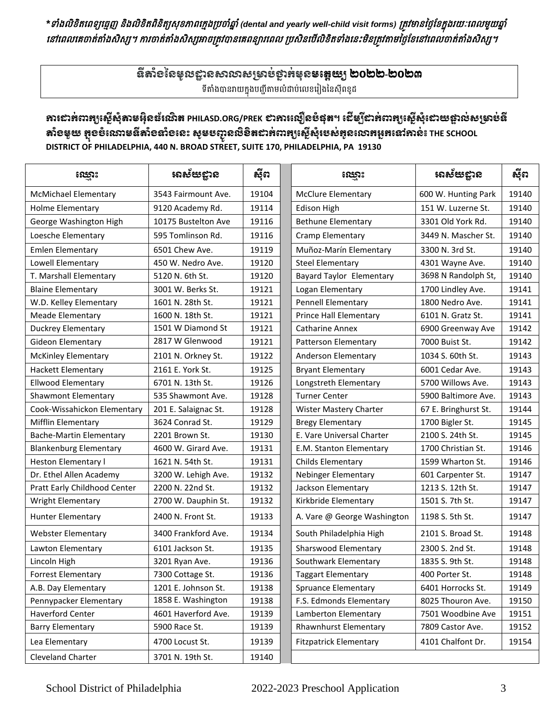#### \*ទាំងលិខិតពេទ្យធ្មេញ និងលិខិតពិនិត្យសុខភាពក្មេងប្រចាំឆ្នាំ (dental and yearly well-child visit forms) ត្រូវមានថ្ងៃខែក្នុងរយៈពេលមួយឆ្នាំ នៅពេលគេចាត់តាំងសិស្ស។ ការចាត់តាំងសិស្សអាចត្រូវបានគេពន្យារពេល ប្រសិនបើលិខិតទាំងនេះមិនត្រូវតាមថ្ងៃខែនៅពេលចាត់តាំងសិស្ស។

#### នីតាំខនៃមុួលដ្ឋានសាលាសម្រាប់ថ្នាក់មុនមត្តេយ្យ ២០២២-២០២៣ ទីតាំងបានរាយក្នុងបញ្ជីតាមលំដាប់លេខរៀងនៃស៊ីពខូដ

#### ការដា<del>រ</del>ក់ពារក្យស្ដើសុំតាមអុិលដ៏រណិត PHILASD.ORG/PREK **បា**ភារលឿលបំផុត។ លើម្បីដារក់ពារក្យស្ដើសុំដោយផ្ទាល់សម្រាប់នី តាំងមួយ្ កាងុ ចាំត្ោមទីតងាំ ទងាំ ត្ៃេះ សមូ បញ្ជូៃល៊ិខ៊ិតដ្ឋក់ពាកយត្សាើសុាំរបស់កូៃត្លាកអាកត្ៅកាៃ់៖ **THE SCHOOL DISTRICT OF PHILADELPHIA, 440 N. BROAD STREET, SUITE 170, PHILADELPHIA, PA 19130**

| 623528                         | <b>របខ្មុ</b> ននិយ   | ស្ទីព | ೯೩೬ನು                         | <b>របខ្លុ</b> ះ រូប  | ະຮູ້ຕ |
|--------------------------------|----------------------|-------|-------------------------------|----------------------|-------|
| <b>McMichael Elementary</b>    | 3543 Fairmount Ave.  | 19104 | <b>McClure Elementary</b>     | 600 W. Hunting Park  | 19140 |
| <b>Holme Elementary</b>        | 9120 Academy Rd.     | 19114 | Edison High                   | 151 W. Luzerne St.   | 19140 |
| George Washington High         | 10175 Bustelton Ave  | 19116 | <b>Bethune Elementary</b>     | 3301 Old York Rd.    | 19140 |
| Loesche Elementary             | 595 Tomlinson Rd.    | 19116 | Cramp Elementary              | 3449 N. Mascher St.  | 19140 |
| <b>Emlen Elementary</b>        | 6501 Chew Ave.       | 19119 | Muñoz-Marín Elementary        | 3300 N. 3rd St.      | 19140 |
| Lowell Elementary              | 450 W. Nedro Ave.    | 19120 | <b>Steel Elementary</b>       | 4301 Wayne Ave.      | 19140 |
| T. Marshall Elementary         | 5120 N. 6th St.      | 19120 | Bayard Taylor Elementary      | 3698 N Randolph St,  | 19140 |
| <b>Blaine Elementary</b>       | 3001 W. Berks St.    | 19121 | Logan Elementary              | 1700 Lindley Ave.    | 19141 |
| W.D. Kelley Elementary         | 1601 N. 28th St.     | 19121 | <b>Pennell Elementary</b>     | 1800 Nedro Ave.      | 19141 |
| <b>Meade Elementary</b>        | 1600 N. 18th St.     | 19121 | <b>Prince Hall Elementary</b> | 6101 N. Gratz St.    | 19141 |
| Duckrey Elementary             | 1501 W Diamond St    | 19121 | <b>Catharine Annex</b>        | 6900 Greenway Ave    | 19142 |
| Gideon Elementary              | 2817 W Glenwood      | 19121 | <b>Patterson Elementary</b>   | 7000 Buist St.       | 19142 |
| <b>McKinley Elementary</b>     | 2101 N. Orkney St.   | 19122 | Anderson Elementary           | 1034 S. 60th St.     | 19143 |
| <b>Hackett Elementary</b>      | 2161 E. York St.     | 19125 | <b>Bryant Elementary</b>      | 6001 Cedar Ave.      | 19143 |
| <b>Ellwood Elementary</b>      | 6701 N. 13th St.     | 19126 | Longstreth Elementary         | 5700 Willows Ave.    | 19143 |
| <b>Shawmont Elementary</b>     | 535 Shawmont Ave.    | 19128 | <b>Turner Center</b>          | 5900 Baltimore Ave.  | 19143 |
| Cook-Wissahickon Elementary    | 201 E. Salaignac St. | 19128 | Wister Mastery Charter        | 67 E. Bringhurst St. | 19144 |
| Mifflin Elementary             | 3624 Conrad St.      | 19129 | <b>Bregy Elementary</b>       | 1700 Bigler St.      | 19145 |
| <b>Bache-Martin Elementary</b> | 2201 Brown St.       | 19130 | E. Vare Universal Charter     | 2100 S. 24th St.     | 19145 |
| <b>Blankenburg Elementary</b>  | 4600 W. Girard Ave.  | 19131 | E.M. Stanton Elementary       | 1700 Christian St.   | 19146 |
| <b>Heston Elementary I</b>     | 1621 N. 54th St.     | 19131 | Childs Elementary             | 1599 Wharton St.     | 19146 |
| Dr. Ethel Allen Academy        | 3200 W. Lehigh Ave.  | 19132 | <b>Nebinger Elementary</b>    | 601 Carpenter St.    | 19147 |
| Pratt Early Childhood Center   | 2200 N. 22nd St.     | 19132 | Jackson Elementary            | 1213 S. 12th St.     | 19147 |
| Wright Elementary              | 2700 W. Dauphin St.  | 19132 | Kirkbride Elementary          | 1501 S. 7th St.      | 19147 |
| <b>Hunter Elementary</b>       | 2400 N. Front St.    | 19133 | A. Vare @ George Washington   | 1198 S. 5th St.      | 19147 |
| <b>Webster Elementary</b>      | 3400 Frankford Ave.  | 19134 | South Philadelphia High       | 2101 S. Broad St.    | 19148 |
| Lawton Elementary              | 6101 Jackson St.     | 19135 | Sharswood Elementary          | 2300 S. 2nd St.      | 19148 |
| Lincoln High                   | 3201 Ryan Ave.       | 19136 | Southwark Elementary          | 1835 S. 9th St.      | 19148 |
| <b>Forrest Elementary</b>      | 7300 Cottage St.     | 19136 | Taggart Elementary            | 400 Porter St.       | 19148 |
| A.B. Day Elementary            | 1201 E. Johnson St.  | 19138 | <b>Spruance Elementary</b>    | 6401 Horrocks St.    | 19149 |
| Pennypacker Elementary         | 1858 E. Washington   | 19138 | F.S. Edmonds Elementary       | 8025 Thouron Ave.    | 19150 |
| <b>Haverford Center</b>        | 4601 Haverford Ave.  | 19139 | Lamberton Elementary          | 7501 Woodbine Ave    | 19151 |
| <b>Barry Elementary</b>        | 5900 Race St.        | 19139 | Rhawnhurst Elementary         | 7809 Castor Ave.     | 19152 |
| Lea Elementary                 | 4700 Locust St.      | 19139 | <b>Fitzpatrick Elementary</b> | 4101 Chalfont Dr.    | 19154 |
| <b>Cleveland Charter</b>       | 3701 N. 19th St.     | 19140 |                               |                      |       |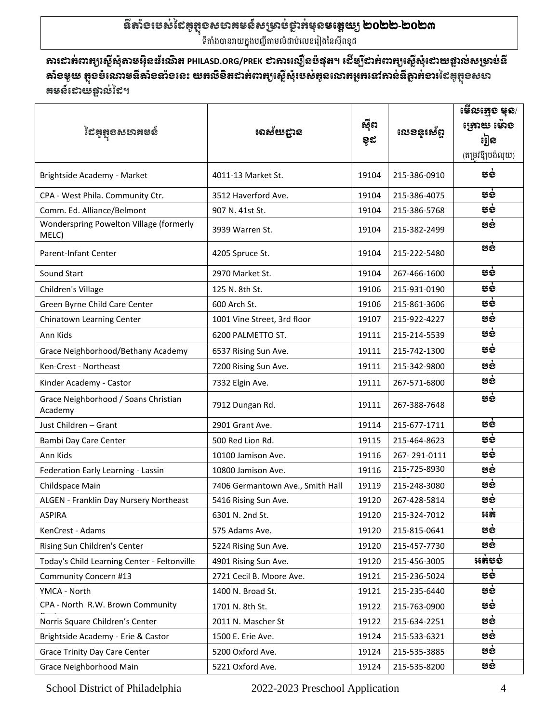ការដា<del>រ</del>ក់ពារក្យស្នើសុំតាមអុិនធ័រណិត PHILASD.ORG/PREK **បា**អាលឿនបំផុត។ សើម្បីដា<del>រ</del>ក់ពារក្យស្នើសុំដោយផ្ទាល់សម្រាប់នី តាំខមួយ ក្ឫខបំណេរមធីតាំខផាំខនេះ យកលិខិតជាក់ពាក្យស្តើសុំរបស់កូនលោកអូកនៅភាន់ធីត្លាក់ខារនៃគូក្ឫខសហ គមន៍ដោយផ្ទាល់ដៃ។

| ដៃគូតួខសទាគមនំ                                   | <b>របខ្លួ</b> ះ រូប              | ຣ໌ຸຕ<br>ಶಿಭ |              | ខ្មែរអូរ ៖ខែ<br>ស្រុងនេះ ទោទ<br>រៀល<br>(តម្រូវឱ្យបង់លុយ) |
|--------------------------------------------------|----------------------------------|-------------|--------------|----------------------------------------------------------|
| Brightside Academy - Market                      | 4011-13 Market St.               | 19104       | 215-386-0910 | ෪෪                                                       |
| CPA - West Phila. Community Ctr.                 | 3512 Haverford Ave.              | 19104       | 215-386-4075 | 5Ġ.                                                      |
| Comm. Ed. Alliance/Belmont                       | 907 N. 41st St.                  | 19104       | 215-386-5768 | <b>UQ</b>                                                |
| Wonderspring Powelton Village (formerly<br>MELC) | 3939 Warren St.                  | 19104       | 215-382-2499 | 5Ô                                                       |
| Parent-Infant Center                             | 4205 Spruce St.                  | 19104       | 215-222-5480 | <b>UQ</b>                                                |
| Sound Start                                      | 2970 Market St.                  | 19104       | 267-466-1600 | 56                                                       |
| Children's Village                               | 125 N. 8th St.                   | 19106       | 215-931-0190 | <b>UĆ</b>                                                |
| Green Byrne Child Care Center                    | 600 Arch St.                     | 19106       | 215-861-3606 | <b>UĆ</b>                                                |
| Chinatown Learning Center                        | 1001 Vine Street, 3rd floor      | 19107       | 215-922-4227 | <b>UĆ</b>                                                |
| Ann Kids                                         | 6200 PALMETTO ST.                | 19111       | 215-214-5539 | <b>UĆ</b>                                                |
| Grace Neighborhood/Bethany Academy               | 6537 Rising Sun Ave.             | 19111       | 215-742-1300 | <b>UĆ</b>                                                |
| Ken-Crest - Northeast                            | 7200 Rising Sun Ave.             | 19111       | 215-342-9800 | 56                                                       |
| Kinder Academy - Castor                          | 7332 Elgin Ave.                  | 19111       | 267-571-6800 | 56                                                       |
| Grace Neighborhood / Soans Christian<br>Academy  | 7912 Dungan Rd.                  | 19111       | 267-388-7648 | <b>UQ</b>                                                |
| Just Children - Grant                            | 2901 Grant Ave.                  | 19114       | 215-677-1711 | 56                                                       |
| Bambi Day Care Center                            | 500 Red Lion Rd.                 | 19115       | 215-464-8623 | <b>UQ</b>                                                |
| Ann Kids                                         | 10100 Jamison Ave.               | 19116       | 267-291-0111 | 5Ġ.                                                      |
| Federation Early Learning - Lassin               | 10800 Jamison Ave.               | 19116       | 215-725-8930 | <b>UQ</b>                                                |
| Childspace Main                                  | 7406 Germantown Ave., Smith Hall | 19119       | 215-248-3080 | <b>UQ</b>                                                |
| ALGEN - Franklin Day Nursery Northeast           | 5416 Rising Sun Ave.             | 19120       | 267-428-5814 | <b>UQ</b>                                                |
| <b>ASPIRA</b>                                    | 6301 N. 2nd St.                  | 19120       | 215-324-7012 | អត់                                                      |
| KenCrest - Adams                                 | 575 Adams Ave.                   | 19120       | 215-815-0641 | 5Ġ                                                       |
| Rising Sun Children's Center                     | 5224 Rising Sun Ave.             | 19120       | 215-457-7730 | පන                                                       |
| Today's Child Learning Center - Feltonville      | 4901 Rising Sun Ave.             | 19120       | 215-456-3005 | អត់ <b>១</b> ខ                                           |
| Community Concern #13                            | 2721 Cecil B. Moore Ave.         | 19121       | 215-236-5024 | 5Ġ                                                       |
| YMCA - North                                     | 1400 N. Broad St.                | 19121       | 215-235-6440 | ෪෯                                                       |
| CPA - North R.W. Brown Community                 | 1701 N. 8th St.                  | 19122       | 215-763-0900 | 5Ġ                                                       |
| Norris Square Children's Center                  | 2011 N. Mascher St               | 19122       | 215-634-2251 | ິອອ                                                      |
| Brightside Academy - Erie & Castor               | 1500 E. Erie Ave.                | 19124       | 215-533-6321 |                                                          |
| <b>Grace Trinity Day Care Center</b>             | 5200 Oxford Ave.                 | 19124       | 215-535-3885 | 5Ġ.                                                      |
| Grace Neighborhood Main                          | 5221 Oxford Ave.                 | 19124       | 215-535-8200 | ິອອ                                                      |

School District of Philadelphia 2022-2023 Preschool Application 4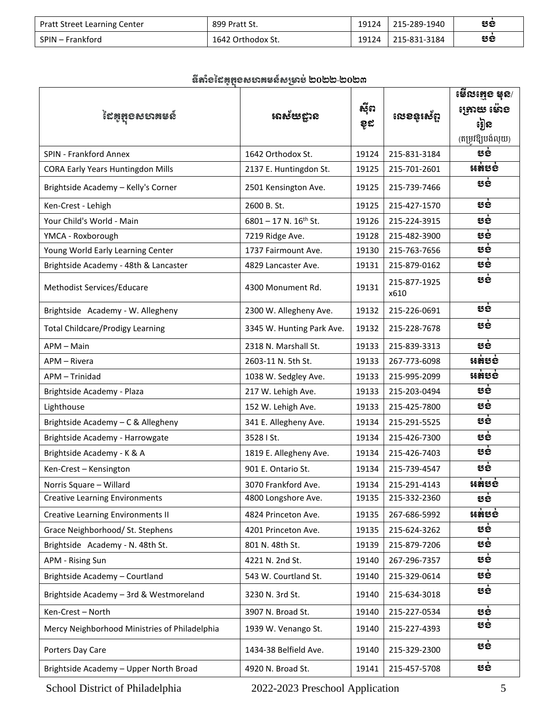| <b>Pratt Street Learning Center</b> | 899 Pratt St.     | 19124 | 215-289-1940    | uo |
|-------------------------------------|-------------------|-------|-----------------|----|
| SPIN – Frankford                    | 1642 Orthodox St. | 19124 | $ 215-831-3184$ | uo |

#### នីតាំខនៃអូតូខសទាគមន៍សទ្រាប់ ២០២២-២០២៣

|                                               |                                 |       |                           | <u>ខ្ម</u> េះអង់១ ន់ខ\ |
|-----------------------------------------------|---------------------------------|-------|---------------------------|------------------------|
| ដៃគូតួខសទាគមន៍                                | របស្ថិតនិង                      | ស៊ីព  | <u>លេខឆ្<b>ុះស័</b>ល្</u> | ស្រ្គាយ ទ៉ោខ           |
|                                               |                                 | ಶಿಭ   |                           | រៀន                    |
|                                               |                                 |       |                           | (តម្រវឱ្យបង់លុយ)       |
| <b>SPIN - Frankford Annex</b>                 | 1642 Orthodox St.               | 19124 | 215-831-3184              | <b>UQ</b>              |
| <b>CORA Early Years Huntingdon Mills</b>      | 2137 E. Huntingdon St.          | 19125 | 215-701-2601              | uneo                   |
| Brightside Academy - Kelly's Corner           | 2501 Kensington Ave.            | 19125 | 215-739-7466              | <b>UQ</b>              |
| Ken-Crest - Lehigh                            | 2600 B. St.                     | 19125 | 215-427-1570              | <b>UQ</b>              |
| Your Child's World - Main                     | 6801-17 N. 16 <sup>th</sup> St. | 19126 | 215-224-3915              | <b>UQ</b>              |
| YMCA - Roxborough                             | 7219 Ridge Ave.                 | 19128 | 215-482-3900              | uė                     |
| Young World Early Learning Center             | 1737 Fairmount Ave.             | 19130 | 215-763-7656              | <b>UQ</b>              |
| Brightside Academy - 48th & Lancaster         | 4829 Lancaster Ave.             | 19131 | 215-879-0162              | <b>UQ</b>              |
| Methodist Services/Educare                    | 4300 Monument Rd.               | 19131 | 215-877-1925<br>x610      | <b>UQ</b>              |
| Brightside Academy - W. Allegheny             | 2300 W. Allegheny Ave.          | 19132 | 215-226-0691              | ෪෪                     |
| <b>Total Childcare/Prodigy Learning</b>       | 3345 W. Hunting Park Ave.       | 19132 | 215-228-7678              | <b>UQ</b>              |
| APM - Main                                    | 2318 N. Marshall St.            | 19133 | 215-839-3313              | ෪෯                     |
| APM - Rivera                                  | 2603-11 N. 5th St.              | 19133 | 267-773-6098              | hâuo                   |
| APM - Trinidad                                | 1038 W. Sedgley Ave.            | 19133 | 215-995-2099              | អត់ <b>ខ</b> ់         |
| Brightside Academy - Plaza                    | 217 W. Lehigh Ave.              | 19133 | 215-203-0494              | <b>UQ</b>              |
| Lighthouse                                    | 152 W. Lehigh Ave.              | 19133 | 215-425-7800              | <b>UQ</b>              |
| Brightside Academy - C & Allegheny            | 341 E. Allegheny Ave.           | 19134 | 215-291-5525              | <b>UQ</b>              |
| Brightside Academy - Harrowgate               | 3528   St.                      | 19134 | 215-426-7300              | <b>UQ</b>              |
| Brightside Academy - K & A                    | 1819 E. Allegheny Ave.          | 19134 | 215-426-7403              | uė                     |
| Ken-Crest - Kensington                        | 901 E. Ontario St.              | 19134 | 215-739-4547              | <b>UQ</b>              |
| Norris Square - Willard                       | 3070 Frankford Ave.             | 19134 | 215-291-4143              | <b>HÄUO</b>            |
| <b>Creative Learning Environments</b>         | 4800 Longshore Ave.             | 19135 | 215-332-2360              | uė                     |
| <b>Creative Learning Environments II</b>      | 4824 Princeton Ave.             | 19135 | 267-686-5992              | ugo                    |
| Grace Neighborhood/ St. Stephens              | 4201 Princeton Ave.             | 19135 | 215-624-3262              | <b>UĆ</b>              |
| Brightside Academy - N. 48th St.              | 801 N. 48th St.                 | 19139 | 215-879-7206              | <b>UĆ</b>              |
| APM - Rising Sun                              | 4221 N. 2nd St.                 | 19140 | 267-296-7357              | <b>UĆ</b>              |
| Brightside Academy - Courtland                | 543 W. Courtland St.            | 19140 | 215-329-0614              | <b>UQ</b>              |
| Brightside Academy - 3rd & Westmoreland       | 3230 N. 3rd St.                 | 19140 | 215-634-3018              |                        |
| Ken-Crest - North                             | 3907 N. Broad St.               | 19140 | 215-227-0534              | <b>UQ</b>              |
| Mercy Neighborhood Ministries of Philadelphia | 1939 W. Venango St.             | 19140 | 215-227-4393              | <b>UĆ</b>              |
| Porters Day Care                              | 1434-38 Belfield Ave.           | 19140 | 215-329-2300              |                        |
| Brightside Academy - Upper North Broad        | 4920 N. Broad St.               | 19141 | 215-457-5708              | <b>පිලි</b>            |

School District of Philadelphia 2022-2023 Preschool Application 5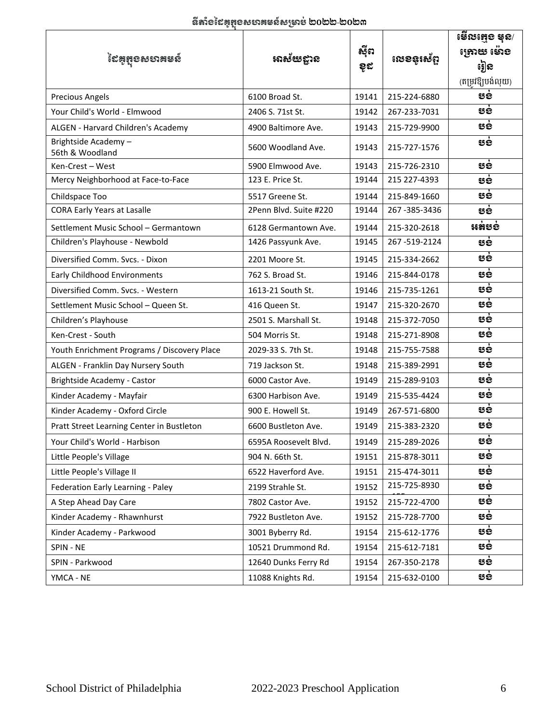#### ទីតាំខនៃគូតូខសទាគមន៍សទ្រាប់ ២០២២-២០២៣

|                                             |                        |         |              | ខ្មែបមើង តំន\    |
|---------------------------------------------|------------------------|---------|--------------|------------------|
|                                             |                        | န်ဒီ့ံရ |              | ಚಿಟು ಪುರ         |
| ដែគូតួខសទាគមសំ                              | <u> ಚುಲ್ಲವು ಅ</u>      | ಶ್ಮಭ    |              | រៀន              |
|                                             |                        |         |              | (តម្រវឱ្យបង់លុយ) |
| <b>Precious Angels</b>                      | 6100 Broad St.         | 19141   | 215-224-6880 | ෪෪               |
| Your Child's World - Elmwood                | 2406 S. 71st St.       | 19142   | 267-233-7031 | BÔ               |
| ALGEN - Harvard Children's Academy          | 4900 Baltimore Ave.    | 19143   | 215-729-9900 | <b>UQ</b>        |
| Brightside Academy -<br>56th & Woodland     | 5600 Woodland Ave.     | 19143   | 215-727-1576 | <b>UQ</b>        |
| Ken-Crest - West                            | 5900 Elmwood Ave.      | 19143   | 215-726-2310 | ෪෯               |
| Mercy Neighborhood at Face-to-Face          | 123 E. Price St.       | 19144   | 215 227-4393 | <b>UQ</b>        |
| Childspace Too                              | 5517 Greene St.        | 19144   | 215-849-1660 | ິ ຍອ່            |
| <b>CORA Early Years at Lasalle</b>          | 2Penn Blvd. Suite #220 | 19144   | 267-385-3436 | <b>UQ</b>        |
| Settlement Music School - Germantown        | 6128 Germantown Ave.   | 19144   | 215-320-2618 | <b>nise</b>      |
| Children's Playhouse - Newbold              | 1426 Passyunk Ave.     | 19145   | 267-519-2124 | 56               |
| Diversified Comm. Svcs. - Dixon             | 2201 Moore St.         | 19145   | 215-334-2662 | 56               |
| <b>Early Childhood Environments</b>         | 762 S. Broad St.       | 19146   | 215-844-0178 | 56               |
| Diversified Comm. Svcs. - Western           | 1613-21 South St.      | 19146   | 215-735-1261 | BÔ               |
| Settlement Music School - Queen St.         | 416 Queen St.          | 19147   | 215-320-2670 | <b>UQ</b>        |
| Children's Playhouse                        | 2501 S. Marshall St.   | 19148   | 215-372-7050 | <b>UQ</b>        |
| Ken-Crest - South                           | 504 Morris St.         | 19148   | 215-271-8908 | <b>UQ</b>        |
| Youth Enrichment Programs / Discovery Place | 2029-33 S. 7th St.     | 19148   | 215-755-7588 | <b>UQ</b>        |
| ALGEN - Franklin Day Nursery South          | 719 Jackson St.        | 19148   | 215-389-2991 | <b>UQ</b>        |
| Brightside Academy - Castor                 | 6000 Castor Ave.       | 19149   | 215-289-9103 | <b>UQ</b>        |
| Kinder Academy - Mayfair                    | 6300 Harbison Ave.     | 19149   | 215-535-4424 | BÔ               |
| Kinder Academy - Oxford Circle              | 900 E. Howell St.      | 19149   | 267-571-6800 | <b>UQ</b>        |
| Pratt Street Learning Center in Bustleton   | 6600 Bustleton Ave.    | 19149   | 215-383-2320 | <b>UQ</b>        |
| Your Child's World - Harbison               | 6595A Roosevelt Blvd.  | 19149   | 215-289-2026 | uė               |
| Little People's Village                     | 904 N. 66th St.        | 19151   | 215-878-3011 | <b>UQ</b>        |
| Little People's Village II                  | 6522 Haverford Ave.    | 19151   | 215-474-3011 | <b>UQ</b>        |
| Federation Early Learning - Paley           | 2199 Strahle St.       | 19152   | 215-725-8930 | <b>UĆ</b>        |
| A Step Ahead Day Care                       | 7802 Castor Ave.       | 19152   | 215-722-4700 | <b>UQ</b>        |
| Kinder Academy - Rhawnhurst                 | 7922 Bustleton Ave.    | 19152   | 215-728-7700 | <b>UĆ</b>        |
| Kinder Academy - Parkwood                   | 3001 Byberry Rd.       | 19154   | 215-612-1776 | <b>UĆ</b>        |
| SPIN - NE                                   | 10521 Drummond Rd.     | 19154   | 215-612-7181 | <b>UQ</b>        |
| SPIN - Parkwood                             | 12640 Dunks Ferry Rd   | 19154   | 267-350-2178 | <b>UQ</b>        |
| YMCA - NE                                   | 11088 Knights Rd.      | 19154   | 215-632-0100 | <b>UĆ</b>        |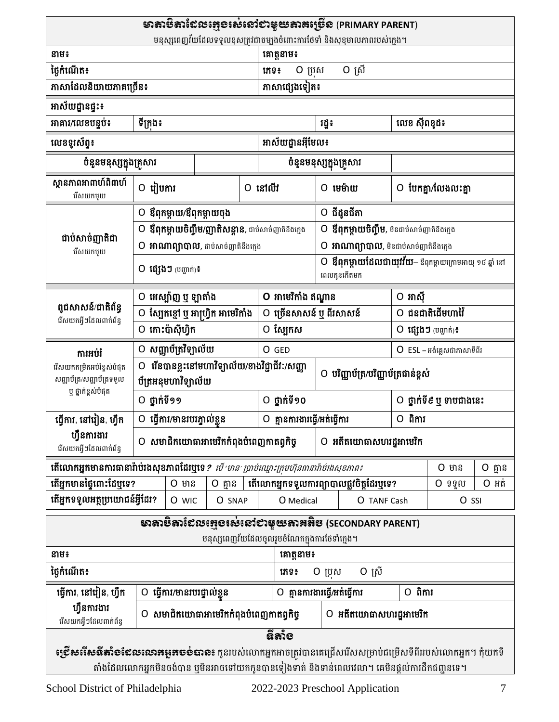|                                                                                                                    |                                    |                             |                                                           |  |                                                                                      |                              |                                      |                               | មាតាមិតាដែលក្មេចរស់នៅខាងូយតាគច្រើន (PRIMARY PARENT)                                        |              |                     |         |
|--------------------------------------------------------------------------------------------------------------------|------------------------------------|-----------------------------|-----------------------------------------------------------|--|--------------------------------------------------------------------------------------|------------------------------|--------------------------------------|-------------------------------|--------------------------------------------------------------------------------------------|--------------|---------------------|---------|
| នាម៖                                                                                                               |                                    |                             |                                                           |  | មនុស្សពេញវ័យដែលទទួលខុសត្រូវជាចម្បងចំពោះការថែទាំ និងសុខុមាលភាពរបស់ក្មេង។<br>គោត្តនាម៖ |                              |                                      |                               |                                                                                            |              |                     |         |
| ថ្ងៃកំណើត៖                                                                                                         |                                    |                             |                                                           |  | កេទ៖                                                                                 |                              | O ប្រុស                              |                               | 0 ស្រី                                                                                     |              |                     |         |
| ភាសាដែលនិយាយភាគច្រើន៖                                                                                              |                                    |                             |                                                           |  |                                                                                      | ភាសាផ្សេងទៀត៖                |                                      |                               |                                                                                            |              |                     |         |
|                                                                                                                    |                                    |                             |                                                           |  |                                                                                      |                              |                                      |                               |                                                                                            |              |                     |         |
| អាស័យដ្ឋានផ្ទះ៖                                                                                                    |                                    |                             |                                                           |  |                                                                                      |                              |                                      |                               |                                                                                            |              |                     |         |
| អាគារ/លេខបន្ទប់៖                                                                                                   | ទីក្រុង៖                           |                             |                                                           |  |                                                                                      |                              |                                      | រដ្ឋ៖                         |                                                                                            | លេខ ស៊ីពខូដ៖ |                     |         |
| លេខទូរស័ព្ទ៖                                                                                                       |                                    |                             |                                                           |  |                                                                                      | អាស័យដ្ឋានអ៊ីមែល៖            |                                      |                               |                                                                                            |              |                     |         |
| ចំនួនមនុស្សក្នុងគ្រួសារ                                                                                            |                                    |                             |                                                           |  |                                                                                      |                              |                                      |                               | ចំនួនមនុស្សក្នុងគ្រួសារ                                                                    |              |                     |         |
| ស្ថានភាពអាពាហ៍ពិពាហ៍<br>រើសយកមួយ                                                                                   | O រៀបការ                           |                             |                                                           |  | O នៅលីវ                                                                              |                              |                                      |                               | O មេម៉ាយ                                                                                   |              | O បែកគ្នា/លែងលះគ្នា |         |
|                                                                                                                    |                                    | O ឳពុកម្ដាយ/ឳពុកម្ដាយចុង    |                                                           |  |                                                                                      |                              |                                      |                               | O ជីដូនជីតា                                                                                |              |                     |         |
|                                                                                                                    |                                    |                             | <b>ឪពុកម្តាយចិញ្ចឹម/ញាតិសន្តាន</b> , ជាប់សាច់ញាតិនឹងក្មេង |  |                                                                                      |                              |                                      |                               | $O$ ខឺពុកម្ដាយចិញ្ចឹម, មិនជាប់សាច់ញាតិនឹងក្មេង                                             |              |                     |         |
| ជាប់សាច់ញាតិជា<br>រើសយកមួយ                                                                                         |                                    |                             | O អាណាព្យាបាល, ជាប់សាច់ញាតិនឹងក្មេង                       |  |                                                                                      |                              |                                      |                               | O អាណាព្យាបាល, មិនជាប់សាច់ញាតិនឹងក្មេង                                                     |              |                     |         |
|                                                                                                                    | O ផ្សេង <b>ៗ</b> (បញ្ជាក់)៖        |                             |                                                           |  |                                                                                      |                              |                                      |                               | O <b>ឪពុកម្តាយដែលជាយុវវ័យ</b> – ឪពុកម្តាយក្រោមអាយុ ១៨ ឆ្នាំ នៅ<br>ពេលកូនកើតមក              |              |                     |         |
|                                                                                                                    |                                    | O អេស្ប៉ាញ ឬ ឡាតាំង         |                                                           |  |                                                                                      | O អាមេរិកាំង ឥណ្ឌាន          |                                      |                               |                                                                                            | O អាស៊ី      |                     |         |
| ពូជសាសន៍/ជាតិព័ន្ធ                                                                                                 | O ស្បែកខ្មៅ ឬ អាហ្វ្រិក អាមេរិកាំង |                             |                                                           |  | O ច្រើនសាសន៍ ឬ ពីរសាសន៍                                                              |                              | O ជនជាតិដើមហាវ៉ៃ                     |                               |                                                                                            |              |                     |         |
| រើសយកអ្វីៗដែលពាក់ព័ន្ធ                                                                                             |                                    | O កោះប៉ាស៊ីហ្វិក            |                                                           |  | O ស្បែកស                                                                             |                              |                                      | O ផ្សេងៗ (បញ្ជាក់)៖           |                                                                                            |              |                     |         |
| ការអប់រំ                                                                                                           |                                    | O សញ្ញាប័ត្រវិទ្យាល័យ       |                                                           |  | O GED                                                                                |                              |                                      | $O$ ESL – អង់គ្លេសជាភាសាទីពីរ |                                                                                            |              |                     |         |
| រើសយកកម្រិតអប់រំខ្ពស់បំផុត<br>សញ្ញាប័ត្រ/សញ្ញាប័ត្រទទួល                                                            |                                    | ប័ត្រអនុមហាវិទ្យាល័យ        | រើនបានខ្លះនៅមហាវិទ្យាល័យ/ខាងវិជ្ជាជីវៈ/សញ្ញា              |  |                                                                                      |                              | O បរិញ្ញាប័ត្រ/បរិញ្ញាប័ត្រជាន់ខ្ពស់ |                               |                                                                                            |              |                     |         |
| ឬ ថ្នាក់ខ្ពស់បំផុត                                                                                                 | O ថ្នាក់ទី១១                       |                             |                                                           |  | O ថ្នាក់ទី១០                                                                         |                              |                                      |                               | O ថ្នាក់ទី៩ ឬ ទាបជាងនេះ                                                                    |              |                     |         |
| ធ្វើការ, នៅរៀន, ហ្វឹក                                                                                              |                                    | O ធ្វើការ/មានរបរភ្នាល់ខ្លួន |                                                           |  | O គ្មានការងារធ្វើ/អត់ធ្វើការ                                                         |                              |                                      | O ពិការ                       |                                                                                            |              |                     |         |
| ហ្វឺនការងារ<br>រើសយកអ្វីៗដែលពាក់ព័ន្ធ                                                                              |                                    |                             |                                                           |  | O សមាជិកយោធាអាមេរិកកំពុងបំពេញកាតព្វកិច្ច<br>O អតីតយោធាសហរដ្ឋអាមេរិក                  |                              |                                      |                               |                                                                                            |              |                     |         |
| <b>តើលោកអ្នកមានការធានារ៉ាប់រងសុខភាពដែរឬទេ<i>? ថើ មាន ប្រាប់ឈ្មោះក្រុមហ៊ុនធានារ៉ាប់រងសុខភាព៖</i></b>                |                                    |                             |                                                           |  |                                                                                      |                              |                                      |                               |                                                                                            |              | O មាន               | O គ្មាន |
| តើអ្នកមានផ្ទៃពោះដែឬទេ?                                                                                             |                                    | O មាន                       | $O$ គ្មាន                                                 |  |                                                                                      |                              |                                      |                               | តើលោកអ្នកទទួលការព្យាបាលផ្លូវចិត្តដែរឬទេ?                                                   |              | O ទទួល              | O អត់   |
| តើអ្នកទទួលអត្ថប្រយោជន៍អ្វីដែរ?                                                                                     |                                    | O WIC                       | O SNAP                                                    |  |                                                                                      | O Medical                    |                                      |                               | O TANF Cash                                                                                |              | O SSI               |         |
|                                                                                                                    |                                    |                             |                                                           |  |                                                                                      |                              |                                      |                               | មាតាមិតាដែលក្មេចរស់នៅខាមុយតាគតិច (SECONDARY PARENT)                                        |              |                     |         |
|                                                                                                                    |                                    |                             | មនុស្សពេញវ័យដែលចូលរួមចំណែកក្នុងការថែទាំក្មេង។             |  |                                                                                      |                              |                                      |                               |                                                                                            |              |                     |         |
| នាម៖                                                                                                               |                                    |                             |                                                           |  |                                                                                      | គោត្តនាម៖                    |                                      |                               |                                                                                            |              |                     |         |
| ថ្ងៃកំណើត៖                                                                                                         |                                    |                             |                                                           |  |                                                                                      | រេកទ៖                        |                                      | O ប្រស                        | O ស្រី                                                                                     |              |                     |         |
| ធ្វើការ, នៅរៀន, ហ្វឹក                                                                                              |                                    | O ធ្វើការ/មានរបរផ្ទាល់ខ្លួន |                                                           |  |                                                                                      | O គ្មានការងារធ្វើ/អត់ធ្វើការ |                                      |                               |                                                                                            | O ពិការ      |                     |         |
| ហ្វឺនការងារ<br>រើសយកអ្វីៗដែលពាក់ព័ន្ធ                                                                              |                                    |                             | O សមាជិកយោធាអាមេរិកកំពុងបំពេញកាតព្វកិច្ច                  |  |                                                                                      |                              |                                      |                               | O អតីតយោធាសហរដ្ឋអាមេរិក                                                                    |              |                     |         |
|                                                                                                                    |                                    |                             |                                                           |  |                                                                                      | ຂຶ້ສາອ                       |                                      |                               |                                                                                            |              |                     |         |
| <b>្រើសពីសនីតាំ១ដែលលេាអម្លូអបខ្់បាន:</b> កូនរបស់លោកអ្នកអាចត្រូវបានគេជ្រើសរើសសម្រាប់ជម្រើសទីពីររបស់លោកអ្នក។ កុំយកទី |                                    |                             |                                                           |  |                                                                                      |                              |                                      |                               |                                                                                            |              |                     |         |
|                                                                                                                    |                                    |                             |                                                           |  |                                                                                      |                              |                                      |                               | តាំងដែលលោកអ្នកមិនចង់បាន ឬមិនអាចទៅយកកូនបានទៀងទាត់ និងទាន់ពេលវេលា។ គេមិនផ្តល់ការដឹកជញ្ជូនទេ។ |              |                     |         |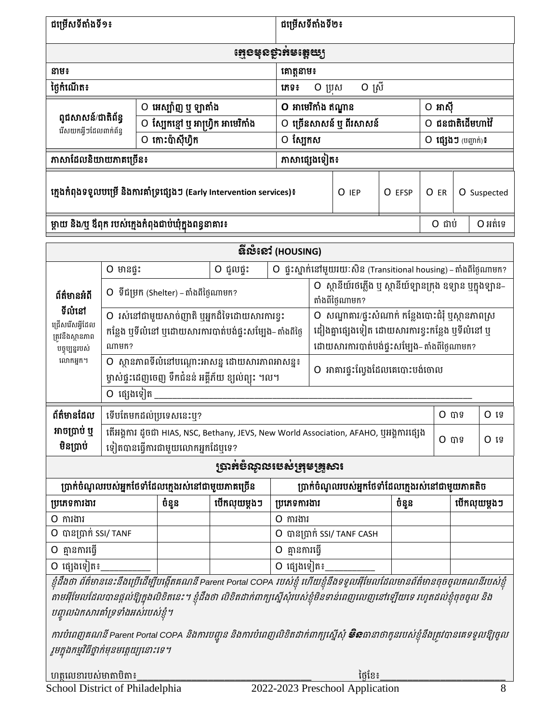| ជម្រើសទីតាំងទី១៖                                                      |                                                                                                                                                                                                                                                               |                               |                                                       |                                                                                                                                    |                     | ជម្រើសទីតាំងទី២៖                                                           |                                                                   |        |                                               |       |                  |
|-----------------------------------------------------------------------|---------------------------------------------------------------------------------------------------------------------------------------------------------------------------------------------------------------------------------------------------------------|-------------------------------|-------------------------------------------------------|------------------------------------------------------------------------------------------------------------------------------------|---------------------|----------------------------------------------------------------------------|-------------------------------------------------------------------|--------|-----------------------------------------------|-------|------------------|
|                                                                       |                                                                                                                                                                                                                                                               |                               |                                                       |                                                                                                                                    |                     | <u> គ្រេ</u> ខមុនឡា <del>ក់</del> មគ្លេយ្យ                                 |                                                                   |        |                                               |       |                  |
| នាម៖                                                                  |                                                                                                                                                                                                                                                               |                               |                                                       |                                                                                                                                    | គោត្តនាម៖           |                                                                            |                                                                   |        |                                               |       |                  |
| ថ្ងៃកំណើត៖                                                            |                                                                                                                                                                                                                                                               |                               |                                                       |                                                                                                                                    | រភទ៖                | O ប្រស                                                                     | 0 ស្រី                                                            |        |                                               |       |                  |
|                                                                       |                                                                                                                                                                                                                                                               |                               | O អេស្ប៉ាញ ឬ ឡាតាំង                                   |                                                                                                                                    | O អាមេរិកាំង ឥណ្ឌាន |                                                                            |                                                                   |        | O អាស៊ី                                       |       |                  |
| ពូជសាសន៍/ជាតិព័ន្ធ                                                    |                                                                                                                                                                                                                                                               |                               | O ស្បែកខ្មៅ ឬ អាហ្វ្រិក អាមេរិកាំង                    |                                                                                                                                    |                     |                                                                            | O ច្រើនសាសន៍ ឬ ពីរសាសន៍                                           |        |                                               |       | O ជនជាតិដើមហាវ៉ៃ |
| រើសយកអ្វីៗដែលពាក់ព័ន្ធ                                                |                                                                                                                                                                                                                                                               |                               | O កោះប៉ាស៊ីហ្វិក                                      |                                                                                                                                    | O ស្បែកស            |                                                                            |                                                                   |        | O <b>ជ្រៀងៗ</b> (បញ្ជាក់)៖                    |       |                  |
| ភាសាដែលនិយាយភាគច្រើន៖                                                 |                                                                                                                                                                                                                                                               |                               |                                                       |                                                                                                                                    | ភាសាផ្សេងទៀត៖       |                                                                            |                                                                   |        |                                               |       |                  |
| ក្មេងកំពុងទទួលបម្រើ និងការគាំទ្រផ្សេងៗ (Early Intervention services)៖ |                                                                                                                                                                                                                                                               |                               |                                                       |                                                                                                                                    |                     |                                                                            | O IEP                                                             | O EFSP | O ER                                          |       | O Suspected      |
|                                                                       |                                                                                                                                                                                                                                                               |                               | ម្តាយ និង/ឬ ឪពុក របស់ក្មេងកំពុងជាប់ឃុំក្នុងពន្ធនាគារ៖ |                                                                                                                                    |                     |                                                                            |                                                                   |        | O ជាប់                                        |       | O អត់ទេ          |
|                                                                       |                                                                                                                                                                                                                                                               |                               |                                                       |                                                                                                                                    |                     |                                                                            |                                                                   |        |                                               |       |                  |
|                                                                       | O មានផ្ទះ                                                                                                                                                                                                                                                     |                               |                                                       | O ជួលផ្ទះ                                                                                                                          |                     |                                                                            | O ផ្ទុះស្នាក់នៅមួយរយៈសិន (Transitional housing) – តាំងពីថ្ងៃណាមក? |        |                                               |       |                  |
|                                                                       |                                                                                                                                                                                                                                                               |                               |                                                       |                                                                                                                                    |                     |                                                                            |                                                                   |        |                                               |       |                  |
| ព័ត៌មានអំពី                                                           | $O$ ទីជម្រក (Shelter) – តាំងពីថ្ងៃណាមក?                                                                                                                                                                                                                       |                               |                                                       |                                                                                                                                    |                     | O  ស្ថានីយ៍រថភ្លើង ឬ ស្ថានីយ៍ឡានក្រុង ឧទ្យាន ឬក្នុងឡាន–<br>តាំងពីថ្ងៃណាមក? |                                                                   |        |                                               |       |                  |
| ទីលំនៅ<br>ជ្រើសរើសអ្វីដែល                                             | O រស់នៅជាមួយសាច់ញាតិ បុអ្នកដ៏ទៃដោយសារការខ្វះ                                                                                                                                                                                                                  |                               |                                                       |                                                                                                                                    |                     |                                                                            | O សណ្ឋាគារ/ផ្ទះសំណាក់ កន្លែងបោះជំរុំ ឬស្ថានភាពស្រ                 |        |                                               |       |                  |
| ត្រូវនឹងស្ថានភាព                                                      |                                                                                                                                                                                                                                                               |                               |                                                       | កន្លែង ឫទីលំនៅ ឫដោយសារការបាត់បង់ផ្ទះសម្បែង–តាំងពីថ្ងៃ                                                                              |                     |                                                                            |                                                                   |        | ដៀងគ្នាផ្សេងទៀត ដោយសារការខ្វះកន្លែង ឫទីលំនៅ ឫ |       |                  |
| បច្ចុប្បន្នរបស់<br>លោកអ្នក។                                           | ណាមក?                                                                                                                                                                                                                                                         |                               |                                                       | O ស្ថានភាពទីលំនៅបណ្តោះអាសន្ន ដោយសារភាពអាសន្ន៖                                                                                      |                     |                                                                            |                                                                   |        | ដោយសារការបាត់បង់ថ្នះសម្បែង–តាំងពីថ្ងៃណាមក?    |       |                  |
|                                                                       |                                                                                                                                                                                                                                                               |                               |                                                       | ម្ចាស់ផ្ទះដេញចេញ ទឹកជំនន់ អគ្គីភ័យ ខ្យល់ព្យុះ ។ល។                                                                                  |                     |                                                                            | O អាគារផ្ទះល្វែងដែលគេបោះបង់ចោល                                    |        |                                               |       |                  |
|                                                                       | O ផ្សេងទៀត                                                                                                                                                                                                                                                    |                               |                                                       |                                                                                                                                    |                     |                                                                            |                                                                   |        |                                               |       |                  |
| ព័ត៌មានដែល                                                            |                                                                                                                                                                                                                                                               |                               | ទើបតែមកដល់ប្រទេសនេះឬ?                                 |                                                                                                                                    |                     |                                                                            |                                                                   |        |                                               | O បាទ | O 19             |
| អាចប្រាប់ ឬ                                                           |                                                                                                                                                                                                                                                               |                               |                                                       | តើអង្គការ ដូចជា HIAS, NSC, Bethany, JEVS, New World Association, AFAHO, ឬអង្គការផ្សេង                                              |                     |                                                                            |                                                                   |        |                                               | O បាទ | O 19             |
| មិនប្រាប់                                                             |                                                                                                                                                                                                                                                               |                               | ទៀតបានធ្វើការជាមួយលោកអ្នកដែប្មទេ?                     |                                                                                                                                    |                     |                                                                            |                                                                   |        |                                               |       |                  |
|                                                                       |                                                                                                                                                                                                                                                               |                               |                                                       | <b>ប្រាអ់</b> ចំណូលមេស់គ្រុមគ្រួសារ                                                                                                |                     |                                                                            |                                                                   |        |                                               |       |                  |
|                                                                       |                                                                                                                                                                                                                                                               |                               | ប្រាក់ចំណូលរបស់អ្នកថៃទាំដែលក្មេងរស់នៅជាមួយភាគច្រើន    |                                                                                                                                    |                     |                                                                            | ប្រាក់ចំណូលរបស់អ្នកថែទាំដែលក្មេងរស់នៅជាមួយភាគតិច                  |        |                                               |       |                  |
| ប្រភេទការងារ                                                          |                                                                                                                                                                                                                                                               |                               | ចំនួន                                                 | បើកលុយម្តងៗ                                                                                                                        | ប្រភេទការងារ        |                                                                            |                                                                   | ចំនួន  |                                               |       | បើកលុយម្តងៗ      |
| O ការងារ<br>O បានប្រាក់ SSI/ TANF                                     |                                                                                                                                                                                                                                                               |                               |                                                       |                                                                                                                                    | O ការងារ            |                                                                            | O បានប្រាក់ SSI/ TANF CASH                                        |        |                                               |       |                  |
| O គ្មានការធ្វើ                                                        |                                                                                                                                                                                                                                                               |                               |                                                       |                                                                                                                                    |                     |                                                                            |                                                                   |        |                                               |       |                  |
| O ផ្សេងទៀត៖                                                           |                                                                                                                                                                                                                                                               | O គ្មានការធ្វើ<br>O ផ្សេងទៀត៖ |                                                       |                                                                                                                                    |                     |                                                                            |                                                                   |        |                                               |       |                  |
|                                                                       |                                                                                                                                                                                                                                                               |                               |                                                       |                                                                                                                                    |                     |                                                                            |                                                                   |        |                                               |       |                  |
|                                                                       | ខ្ញុំដឹងថា ព័ត៌មាននេះនឹងប្រើដើម្បីបង្កើតគណនី Parent Portal COPA របស់ខ្ញុំ ហើយខ្ញុំនឹងទទួលអ៊ីមែលដែលមានព័ត៌មានចុចចូលគណនីរបស់ខ្ញុំ<br>តាមអ៊ីមែលដែលបានផ្តល់ឱ្យក្នុងលិខិតនេះ។ ខ្ញុំដឹងថា លិខិតដាក់ពាក្យស្នើសុំរបស់ខ្ញុំមិនទាន់ពេញលេញនៅឡើយទេ រហូតដល់ខ្ញុំចុចចូល និង |                               |                                                       |                                                                                                                                    |                     |                                                                            |                                                                   |        |                                               |       |                  |
| បញ្ចូលឯកសារគាំទ្រទាំងអស់របស់ខ្ញុំ។                                    |                                                                                                                                                                                                                                                               |                               |                                                       |                                                                                                                                    |                     |                                                                            |                                                                   |        |                                               |       |                  |
|                                                                       |                                                                                                                                                                                                                                                               |                               |                                                       | ការបំពេញគណនី Parent Portal COPA និងការបញ្ចូន និងការបំពេញលិខិតដាក់ពាក្យស្នើសុំ <b>មិន</b> ធានាថាកូនរបស់ខ្ញុំនឹងត្រូវបានគេទទួលឱ្យចូល |                     |                                                                            |                                                                   |        |                                               |       |                  |
| <i>រួមក្នុងកម្មវិធីថ្នាក់មុនមត្តេយ្យនោះទេ។</i>                        |                                                                                                                                                                                                                                                               |                               |                                                       |                                                                                                                                    |                     |                                                                            |                                                                   |        |                                               |       |                  |
| ហត្ថលេខារបស់មាតាបិតា៖                                                 |                                                                                                                                                                                                                                                               |                               |                                                       |                                                                                                                                    |                     |                                                                            | ថ្ងៃខែ៖                                                           |        |                                               |       |                  |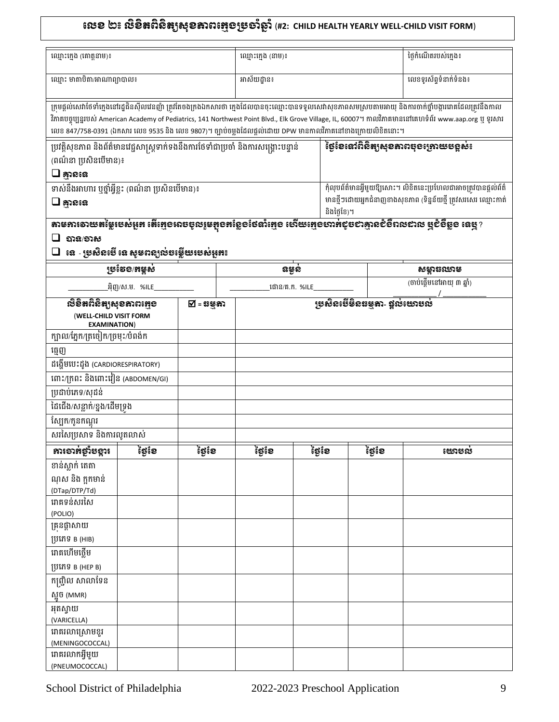## ត្លខ ២៖ ល៊ិខ៊ិតព៊ិៃ៊ិតយសុខភ្នពត្កមងម្របចាំឆ្ា ាំ(**#2: CHILD HEALTH YEARLY WELL-CHILD VISIT FORM**)

| ឈ្មោះក្មេង (គោត្តនាម)៖                                                                                    |                                                                                                                                                          |                    | ឈ្មោះក្មេង (នាម)៖ |       |                                                   |                                                                                                                                                          | ថ្ងៃកំណើតរបស់ក្មេង៖                                                                                                  |
|-----------------------------------------------------------------------------------------------------------|----------------------------------------------------------------------------------------------------------------------------------------------------------|--------------------|-------------------|-------|---------------------------------------------------|----------------------------------------------------------------------------------------------------------------------------------------------------------|----------------------------------------------------------------------------------------------------------------------|
|                                                                                                           |                                                                                                                                                          |                    |                   |       |                                                   |                                                                                                                                                          |                                                                                                                      |
| ឈ្មោះ មាតាបិតា/អាណាព្យាបាល៖                                                                               |                                                                                                                                                          |                    | អាស័យដ្ឋាន៖       |       | លេខទូរស័ព្ទទំនាក់ទំនង៖                            |                                                                                                                                                          |                                                                                                                      |
|                                                                                                           |                                                                                                                                                          |                    |                   |       |                                                   | ក្រមផ្តល់សេវាថែទាំក្មេងនៅរដ្ឋផិនស៊ីលវេនញ៉ា ត្រូវតែចងក្រងឯកសារថា ក្មេងដែលបានចុះឈ្មោះបានទទួលសេវាសុខភាពសមស្របតាមអាយុ និងការចាក់ថ្នាំបង្ការរោគដែលត្រូវនឹងកាល |                                                                                                                      |
|                                                                                                           | វិភាគបច្ចុប្បន្នរបស់ American Academy of Pediatrics, 141 Northwest Point Blvd., Elk Grove Village, IL, 60007។ កាលវិភាគមាននៅគេហទំព័រ www.aap.org ឬ ទូរសារ |                    |                   |       |                                                   |                                                                                                                                                          |                                                                                                                      |
| លេខ 847/758-0391 (ឯកសារ លេខ 9535 និង លេខ 9807)។ ច្បាប់ចម្លងដែលផ្តល់ដោយ DPW មានកាលវិភាគនៅខាងក្រោយលិខិតនោះ។ |                                                                                                                                                          |                    |                   |       |                                                   |                                                                                                                                                          |                                                                                                                      |
| ប្រវត្តិសុខភាព និងព័ត៌មានវេជ្ជសាស្ត្រទាក់ទងនឹងការថែទាំជាប្រចាំ និងការសង្គ្រោះបន្ទាន់                      |                                                                                                                                                          |                    |                   |       |                                                   |                                                                                                                                                          | ថៃ្ងខែនៅពិនិ <del>ត្យ</del> សុខតាពឌុខអ្រោយបន្តស់៖                                                                    |
| (ពណ៌នា ប្រសិនបើមាន)៖                                                                                      |                                                                                                                                                          |                    |                   |       |                                                   |                                                                                                                                                          |                                                                                                                      |
| $\Box$ န္မာ့ေဒေ                                                                                           |                                                                                                                                                          |                    |                   |       |                                                   |                                                                                                                                                          |                                                                                                                      |
| ទាស់នឹងអាហារ ឬថ្នាំអ្វីខ្លះ (ពណ៌នា ប្រសិនបើមាន)៖                                                          |                                                                                                                                                          |                    |                   |       |                                                   |                                                                                                                                                          | កុំលុបព័ត៌មានអ្វីមួយឱ្យសោះ។ លិខិតនេះប្រហែលជាអាចត្រូវបានផ្តល់ព័ត៌                                                     |
| $\square$ န္မာ့ေအေ                                                                                        |                                                                                                                                                          |                    |                   |       |                                                   |                                                                                                                                                          | មានថ្មីៗដោយអ្នកជំនាញខាងសុខភាព (ទិន្នន័យថ្មី ត្រូវសរសេរ ឈ្មោះកាត់                                                     |
|                                                                                                           |                                                                                                                                                          |                    |                   |       | និងថ្ងៃខែ)។                                       |                                                                                                                                                          |                                                                                                                      |
|                                                                                                           |                                                                                                                                                          |                    |                   |       |                                                   |                                                                                                                                                          | តាមភារទាយតម្លៃរបស់អួត តើក្មេចអាចបូលរួមតុុខគខ្លែខថែនាំក្មេុខ បើយក្មេុខហាត់ជូចខាគ្មានខំខឹរាលដាល ឬខំខឹង្ល១ ឆេម្វ $\,$ ? |
| <b>បាន/</b> ទាស                                                                                           |                                                                                                                                                          |                    |                   |       |                                                   |                                                                                                                                                          |                                                                                                                      |
|                                                                                                           | នេ - ម្រសិនមើ នេ សូមពន្យល់មម្លើយរបស់អួក៖                                                                                                                 |                    |                   |       |                                                   |                                                                                                                                                          |                                                                                                                      |
|                                                                                                           | ប្រទែខ/អន្លស់                                                                                                                                            |                    | e ze              |       |                                                   |                                                                                                                                                          | ೪ುಶುಣು                                                                                                               |
|                                                                                                           | _អ៊ិញ/ស.ម. %ILE_                                                                                                                                         |                    | ្ពោន/គ.ក. %ILE    |       |                                                   |                                                                                                                                                          | (ចាប់ផ្តើមនៅអាយុ ៣ ឆ្នាំ)                                                                                            |
|                                                                                                           |                                                                                                                                                          | $\Sigma$ = ឆម្ទុតា |                   |       | <u>រឧសូនត្រេន្ទ្រសន្ទ្រសម</u> ្មាន ខ្ញុំប្រឈានប្រ |                                                                                                                                                          |                                                                                                                      |
| (WELL-CHILD VISIT FORM                                                                                    |                                                                                                                                                          |                    |                   |       |                                                   |                                                                                                                                                          |                                                                                                                      |
| <b>EXAMINATION)</b><br>ក្បាល/ភ្នែក/ត្រចៀក/ច្រមុះ/បំពង់ក                                                   |                                                                                                                                                          |                    |                   |       |                                                   |                                                                                                                                                          |                                                                                                                      |
|                                                                                                           |                                                                                                                                                          |                    |                   |       |                                                   |                                                                                                                                                          |                                                                                                                      |
| ច្នេញ<br>ដង្ហើមបេះដូង (CARDIORESPIRATORY)                                                                 |                                                                                                                                                          |                    |                   |       |                                                   |                                                                                                                                                          |                                                                                                                      |
| ពោះ/ក្រពះ និងពោះវៀន (ABDOMEN/GI)                                                                          |                                                                                                                                                          |                    |                   |       |                                                   |                                                                                                                                                          |                                                                                                                      |
| ប្រដាប់ភេទ/សុដន់                                                                                          |                                                                                                                                                          |                    |                   |       |                                                   |                                                                                                                                                          |                                                                                                                      |
| ដៃជើង/សន្លាក់/ខ្នង/ដើមទ្រុង                                                                               |                                                                                                                                                          |                    |                   |       |                                                   |                                                                                                                                                          |                                                                                                                      |
| ស្បែក/កូនកណ្តុរ                                                                                           |                                                                                                                                                          |                    |                   |       |                                                   |                                                                                                                                                          |                                                                                                                      |
| សរសៃប្រសាទ និងការលូតលាស់                                                                                  |                                                                                                                                                          |                    |                   |       |                                                   |                                                                                                                                                          |                                                                                                                      |
|                                                                                                           |                                                                                                                                                          |                    |                   |       |                                                   |                                                                                                                                                          |                                                                                                                      |
| អារចាអ់ខ្លាំមខ្លារ                                                                                        | ້ເຮີເອ                                                                                                                                                   | ້ເຮູເ໌ອ            | ້ອີຍ້             | ້ອີຍ້ | ້ອູໂອ                                             |                                                                                                                                                          |                                                                                                                      |
| ខាន់ស្លាក់ តេតា                                                                                           |                                                                                                                                                          |                    |                   |       |                                                   |                                                                                                                                                          |                                                                                                                      |
| ណុស និង ក្អកមាន់                                                                                          |                                                                                                                                                          |                    |                   |       |                                                   |                                                                                                                                                          |                                                                                                                      |
| (DTap/DTP/Td)<br>រោគទន់សរសៃ                                                                               |                                                                                                                                                          |                    |                   |       |                                                   |                                                                                                                                                          |                                                                                                                      |
| (POLIO)                                                                                                   |                                                                                                                                                          |                    |                   |       |                                                   |                                                                                                                                                          |                                                                                                                      |
| គ្រុនផ្តាសាយ                                                                                              |                                                                                                                                                          |                    |                   |       |                                                   |                                                                                                                                                          |                                                                                                                      |
| ប្រភេទ в (HIB)                                                                                            |                                                                                                                                                          |                    |                   |       |                                                   |                                                                                                                                                          |                                                                                                                      |
| រោគហើមថ្លើម                                                                                               |                                                                                                                                                          |                    |                   |       |                                                   |                                                                                                                                                          |                                                                                                                      |
| ប្រភេទ B (HEP B)                                                                                          |                                                                                                                                                          |                    |                   |       |                                                   |                                                                                                                                                          |                                                                                                                      |
| កញ្ជ្រិល សាលាទែន                                                                                          |                                                                                                                                                          |                    |                   |       |                                                   |                                                                                                                                                          |                                                                                                                      |
| ស្អប៊ (MMR)                                                                                               |                                                                                                                                                          |                    |                   |       |                                                   |                                                                                                                                                          |                                                                                                                      |
| អុតស្វាយ                                                                                                  |                                                                                                                                                          |                    |                   |       |                                                   |                                                                                                                                                          |                                                                                                                      |
| (VARICELLA)                                                                                               |                                                                                                                                                          |                    |                   |       |                                                   |                                                                                                                                                          |                                                                                                                      |
| រោគរលាស្រោមខួរ                                                                                            |                                                                                                                                                          |                    |                   |       |                                                   |                                                                                                                                                          |                                                                                                                      |
| (MENINGOCOCCAL)<br>រោគរលាកអ្វីមួយ                                                                         |                                                                                                                                                          |                    |                   |       |                                                   |                                                                                                                                                          |                                                                                                                      |
| (PNEUMOCOCCAL)                                                                                            |                                                                                                                                                          |                    |                   |       |                                                   |                                                                                                                                                          |                                                                                                                      |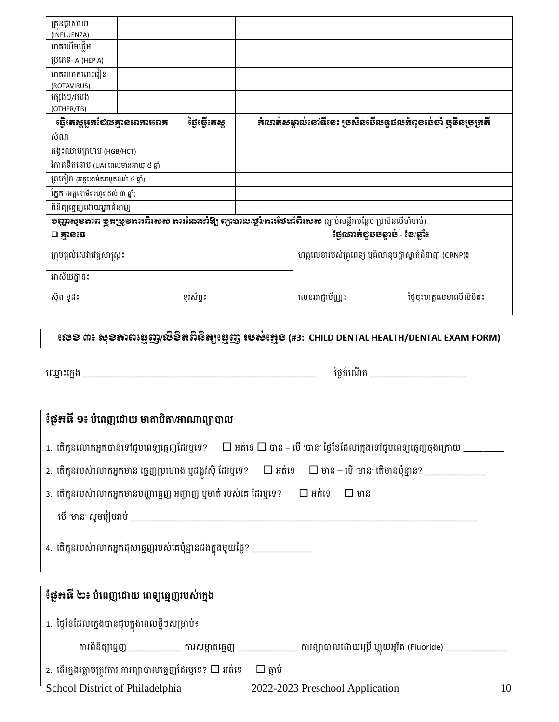| .<br>សេខ ៣៖ សុខនាពច្ឆេញ/របិខិតពិសិត្យច្ឆេញ របស់ថ្មេច (#3:  CHILD DENTAL HEALTH/DENTAL EXAM FORM)                                    |    |  |  |  |  |  |
|-------------------------------------------------------------------------------------------------------------------------------------|----|--|--|--|--|--|
| ថ្ងៃកំណើត ________________________                                                                                                  |    |  |  |  |  |  |
| ខ្មែននី ១៖ បំពេញដោយ មាតាបិតា/អាណាព្យាបាល                                                                                            |    |  |  |  |  |  |
| 1. តើកូនលោកអ្នកបានទៅជួបពេទ្យច្នេញដែរឬទេ? $\quad \Box$ អត់ទេ $\Box$ បាន – បើ 'បាន' ថ្ងៃខែដែលក្មេងទៅជួបពេទ្យច្នេញចុងក្រោយ _________   |    |  |  |  |  |  |
| 2. តើកូនរបស់លោកអ្នកមាន ធ្មេញប្រហោង ឬដង្កូវស៊ី ដែរឬទេ? $\quad \Box$ អត់ទេ $\quad \Box$ មាន – បើ 'មាន' តើមានប៉ុន្មាន? _______________ |    |  |  |  |  |  |
| $_3$ . តើកូនរបស់លោកអ្នកមានបញ្ហាធ្មេញ អញ្ចាញ ឬមាត់ របស់គេ ដែរឬទេ? $\quad \Box$ អត់ទេ $\quad \Box$ មាន                                |    |  |  |  |  |  |
|                                                                                                                                     |    |  |  |  |  |  |
| 4. តើកូនរបស់លោកអ្នកដុសច្នេញរបស់គេប៉ុន្មានដងក្នុងមួយថ្ងៃ? ______________                                                             |    |  |  |  |  |  |
| ខ្ញែនតនី ២៖ បំពេញដោយ ពេទ្យធ្មេញរបស់ក្មេង                                                                                            |    |  |  |  |  |  |
| 1. ថ្ងៃខែដែលក្មេងបានជួបក្នុងពេលថ្មីៗសម្រាប់៖                                                                                        |    |  |  |  |  |  |
| ការពិនិត្យធ្មេញ ____________ ការសម្អាតធ្មេញ _____________ ការព្យាបាលដោយប្រើ ហ្លយអូរីត (Fluoride) _____________                      |    |  |  |  |  |  |
| 2. តើក្មេងរច្លាប់ត្រូវការ ការព្យាបាលធ្មេញដែរឬទេ? $\Box$ អត់ទេ $\Box$ ធ្លាប់                                                         |    |  |  |  |  |  |
| School District of Philadelphia<br>2022-2023 Preschool Application                                                                  | 10 |  |  |  |  |  |
|                                                                                                                                     |    |  |  |  |  |  |

| គ្រុនផ្តាសាយ                                                                                                |  |               |                                                            |                                                       |                            |                         |  |  |
|-------------------------------------------------------------------------------------------------------------|--|---------------|------------------------------------------------------------|-------------------------------------------------------|----------------------------|-------------------------|--|--|
| (INFLUENZA)                                                                                                 |  |               |                                                            |                                                       |                            |                         |  |  |
| រោគហើមថ្លើម                                                                                                 |  |               |                                                            |                                                       |                            |                         |  |  |
| ប្រភេទ- A (HEP A)                                                                                           |  |               |                                                            |                                                       |                            |                         |  |  |
| រោគរលាកពោះវៀន                                                                                               |  |               |                                                            |                                                       |                            |                         |  |  |
| (ROTAVIRUS)                                                                                                 |  |               |                                                            |                                                       |                            |                         |  |  |
| ផ្សេងៗ/របេង                                                                                                 |  |               |                                                            |                                                       |                            |                         |  |  |
| (OTHER/TB)                                                                                                  |  |               |                                                            |                                                       |                            |                         |  |  |
| ធ្វើតេស្តមួតដែលគ្មានអាភារពេគ                                                                                |  | ទ្រៃធ្វើតេស្ត | អំណត់សឆ្គាល់នៅធីនេះ ប្រសិនមើលឆ្លងលអំពុខទេ់ទាំ ឬមិនប្រអ្រតី |                                                       |                            |                         |  |  |
| សំណ                                                                                                         |  |               |                                                            |                                                       |                            |                         |  |  |
| កង្វះឈាមក្រហម (HGB/HCT)                                                                                     |  |               |                                                            |                                                       |                            |                         |  |  |
| វិភាគទឹកនោម (UA) ពេលមានអាយុ ៥ ឆ្នាំ                                                                         |  |               |                                                            |                                                       |                            |                         |  |  |
| ត្រចៀក (អត្តនោម័តរហូតដល់ ៤ ឆ្នាំ)                                                                           |  |               |                                                            |                                                       |                            |                         |  |  |
| ភ្នែក (អត្តនោម័តរហូតដល់ ៣ ឆ្នាំ)                                                                            |  |               |                                                            |                                                       |                            |                         |  |  |
| ពិនិត្យធ្មេញដោយអ្នកជំនាញ                                                                                    |  |               |                                                            |                                                       |                            |                         |  |  |
| មញ្ញាសុខតាព ម្ភូតម្រូចភារពិសេស ភារណែនាំឱ្យ ព្យាបាល/ខ្លាំ/ភារថែនាំពិសេស (ក្លាប់សន្លឹកបន្ថែម ប្រសិនបើចាំបាច់) |  |               |                                                            |                                                       |                            |                         |  |  |
| ු ෂ්රහස                                                                                                     |  |               |                                                            |                                                       | ទ្វៃសាងជំងឺតនៃនេះ ទេ\ខ្សែះ |                         |  |  |
| ក្រុមផ្តល់សេវាវេជ្ជសាស្ត្រ៖                                                                                 |  |               |                                                            | ហត្ថលេខារបស់គ្រូពេទ្យ ឬគិលានុបដ្ឋាស្ទាត់ជំនាញ (CRNP)៖ |                            |                         |  |  |
|                                                                                                             |  |               |                                                            |                                                       |                            |                         |  |  |
| អាស័យដ្ឋាន៖                                                                                                 |  |               |                                                            |                                                       |                            |                         |  |  |
| ស៊ីព ខូដ៖<br>ទូរស័ព្ទ៖                                                                                      |  |               |                                                            | លេខអាជ្ញាប័ណ្ណ៖                                       |                            | ថ្ងៃចុះហត្ថលេខាលើលិខិត៖ |  |  |

 $\mathbf{r}$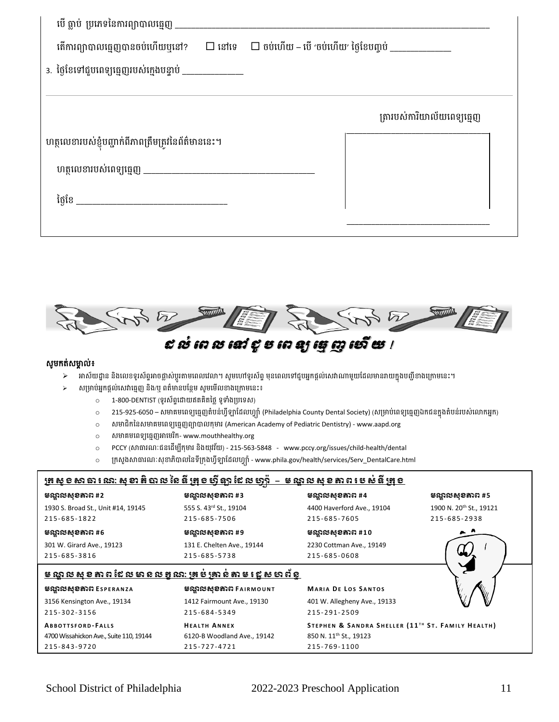| បើ ធ្លាប់ ប្រភេទនៃការព្យាបាលធ្មេញ __________                                                                                   |                             |
|--------------------------------------------------------------------------------------------------------------------------------|-----------------------------|
| តើការព្យាបាលធ្មេញបានចប់ហើយឬនៅ? $\Box$ នៅទេ $\Box$ ចប់ហើយ – បើ 'ចប់ហើយ' ថ្ងៃខែបញ្ចប់ ________                                   |                             |
| 3. ថ្ងៃខែទៅជួបពេទ្យធ្មេញរបស់ក្មេងបន្ទាប់ ______________                                                                        |                             |
|                                                                                                                                |                             |
|                                                                                                                                | គ្រារបស់ការិយាល័យពេទ្យធ្មេញ |
| ហត្ថលេខារបស់ខ្ញុំបញ្ជាក់ពីភាពត្រឹមត្រូវនៃព័ត៌មាននេះ។                                                                           |                             |
|                                                                                                                                |                             |
| ថ្ងៃខែ<br><u> 2001 - Jan James James James James James James James James James James James James James James James James J</u> |                             |
|                                                                                                                                |                             |
|                                                                                                                                |                             |



### ល់ ត្ព <sup>ល</sup> ត្ៅ រួ <sup>ប</sup> ត្ព ទយ ត្ធម <sup>ញ</sup> ត្ហើ យ្ !

#### សូមកត់សម្គាល់៖

- $\triangleright$  អាស័យដ្នាន និងលេខទូរស័ព្ទអាចផ្លាស់ប្តូរតាមពេលវេលា។ សូមហៅទូរស័ព្ទ មុនពេលទៅជួបអ្នកផ្តល់សេវាណាមួយដែលមានរាយក្នុងបញ្ជីខាងក្រោមនេះ។
- $\triangleright$  សម្រាប់អ្នកផ្តល់សេវាធ្មេញ និង/ឬ ពត៌មានបន្ថែម សូមមើលខាងក្រោមនេះ៖
	- o 1-800-DENTIST (ទូរស័េទក្ដ្ឋយ្ឥតគិតដែៃទូទាំងម្របក្ទស)
		- $\,\circ\,\quad$  215-925-6050 សមាគមពេទ្យច្នេញតំបន់ហ្វីឡាដែលហ្វ $\mathring{\rm}$  (Philadelphia County Dental Society) (សម្រាប់ពេទ្យច្នេញឯកជនក្នុងតំបន់របស់លោកអ្នក)
	- $\,\circ\quad$  សមាជិកនៃសមាគមពេទ្យច្នេញព្យាបាលកុមារ (American Academy of Pediatric Dentistry) www.aapd.org
	- $\circ$  សមាគមពេទ្យច្នេញអាមេរិក- www.mouthhealthy.org
	- $\circ$  PCCY (សាធារណៈជនដើម្បីកុមារ និងយុវវ័យ) 215-563-5848 www.pccy.org/issues/child-health/dental
	- o ម្រក្សសួងសាធារណៈសុខាភបាិ លដនទីម្រក្សុងហ្វីឡាថៃលហ្វយ៉- www.phila.gov/health/services/Serv\_DentalCare.html

#### <u>ម្រា សួ ខ សា ឆា រ លោ: សុ ខា ឆិ បា ល នៃ ឆី អ្រុ ខ ម្យិ ឆ្មា ដែ ល ម្យ៉ា – ម ល្ហា ល សុ ខ តា ព រ ម ស់ ឆី អ្រុ ខ</u>

មណឌ លសុខភ្នព **# 2** មណឌ លសុខភ្នព **# 3** មណឌ លសុខភ្នព **# 4** មណឌ លសុខភ្នព **# 5** 1930 S. Broad St., Unit #14, 19145 555 S. 43rd St., 19104 4400 Haverford Ave., 19104 1900 N. 20th St., 19121 215- 685- 1822 215- 685- 7506 215- 685- 7605 215- 685- 2938 មណឌ លសុខភ្នព **# 6** មណឌ លសុខភ្នព **# 9** មណឌ លសុខភ្នព **# 1 0** 301 W. Girard Ave., 19123 131 E. Chelten Ave., 19144 2230 Cottman Ave., 19149 215- 685- 3816 215- 685- 5738 215- 685- 0608

#### <u>ម ស្ពា ល សុ ខ តា ព ដែ ល មា ឧ ល <del>ធ្ម</del> សោ: គ្រុ ប់ គ្រា ន់ តា ម រ ដ្ឋ ស ហ ព័ ន្</u>

មណឌ លសុខភ្នព **E S P E R A N Z A** មណឌ លសុខភ្នព **F A I R M O U N T MA R I A DE LO S S A N T O S** 3156 Kensington Ave., 19134 1412 Fairmount Ave., 19130 401 W. Allegheny Ave., 19133 215- 302- 3156 215- 684- 5349 215- 291- 2509 4700 Wissahickon Ave., Suite 110, 19144 6120-B Woodland Ave., 19142 850 N. 11th St., 19123 215- 843- 9720 215- 727- 4721 215- 769- 1100

ABBOTTSFORD-FALLS HEALTH ANNEX STEPHEN & SANDRA SHELLER (11<sup>TH</sup> ST. FAMILY HEALTH)